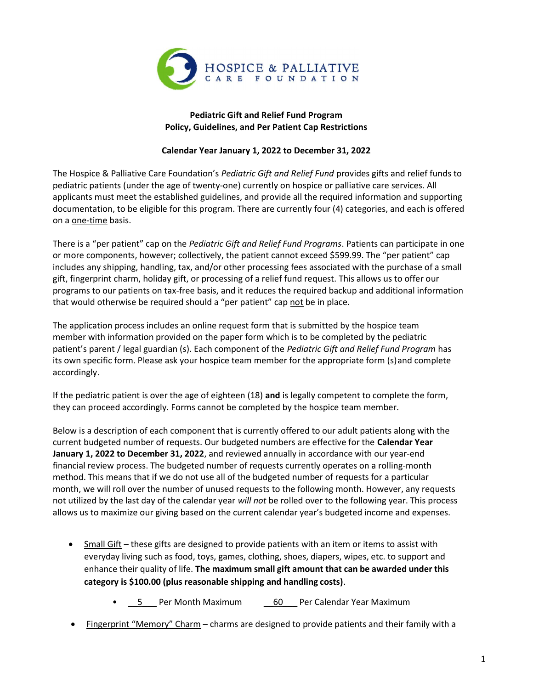

## Pediatric Gift and Relief Fund Program Policy, Guidelines, and Per Patient Cap Restrictions

## Calendar Year January 1, 2022 to December 31, 2022

The Hospice & Palliative Care Foundation's Pediatric Gift and Relief Fund provides gifts and relief funds to pediatric patients (under the age of twenty‐one) currently on hospice or palliative care services. All applicants must meet the established guidelines, and provide all the required information and supporting documentation, to be eligible for this program. There are currently four (4) categories, and each is offered on a one‐time basis.

There is a "per patient" cap on the Pediatric Gift and Relief Fund Programs. Patients can participate in one or more components, however; collectively, the patient cannot exceed \$599.99. The "per patient" cap includes any shipping, handling, tax, and/or other processing fees associated with the purchase of a small gift, fingerprint charm, holiday gift, or processing of a relief fund request. This allows us to offer our programs to our patients on tax‐free basis, and it reduces the required backup and additional information that would otherwise be required should a "per patient" cap not be in place.

The application process includes an online request form that is submitted by the hospice team member with information provided on the paper form which is to be completed by the pediatric patient's parent / legal guardian (s). Each component of the *Pediatric Gift and Relief Fund Program* has its own specific form. Please ask your hospice team member for the appropriate form (s) and complete accordingly.

If the pediatric patient is over the age of eighteen  $(18)$  and is legally competent to complete the form, they can proceed accordingly. Forms cannot be completed by the hospice team member.

Below is a description of each component that is currently offered to our adult patients along with the current budgeted number of requests. Our budgeted numbers are effective for the Calendar Year January 1, 2022 to December 31, 2022, and reviewed annually in accordance with our year-end financial review process. The budgeted number of requests currently operates on a rolling‐month method. This means that if we do not use all of the budgeted number of requests for a particular month, we will roll over the number of unused requests to the following month. However, any requests not utilized by the last day of the calendar year will not be rolled over to the following year. This process allows us to maximize our giving based on the current calendar year's budgeted income and expenses.

- Small Gift these gifts are designed to provide patients with an item or items to assist with everyday living such as food, toys, games, clothing, shoes, diapers, wipes, etc. to support and enhance their quality of life. The maximum small gift amount that can be awarded under this category is \$100.00 (plus reasonable shipping and handling costs).
	- 5 Per Month Maximum \_\_60 Per Calendar Year Maximum
- Fingerprint "Memory" Charm charms are designed to provide patients and their family with a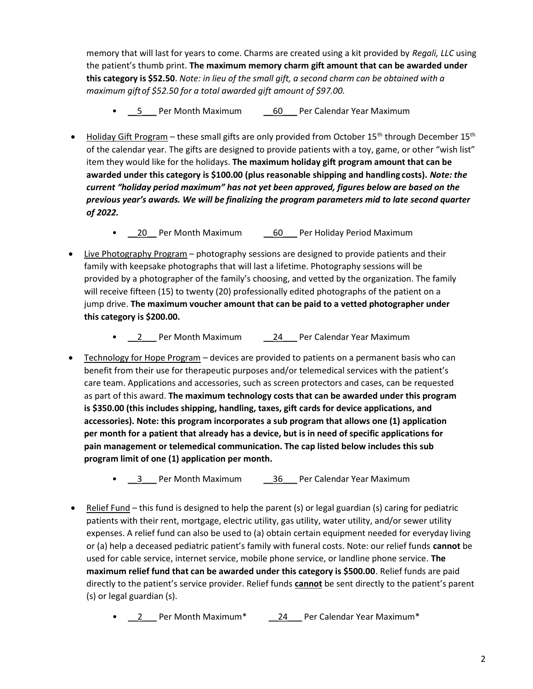memory that will last for years to come. Charms are created using a kit provided by Regali, LLC using the patient's thumb print. The maximum memory charm gift amount that can be awarded under this category is \$52.50. Note: in lieu of the small gift, a second charm can be obtained with a maximum gift of \$52.50 for a total awarded gift amount of \$97.00.

- 5 Per Month Maximum 60 Per Calendar Year Maximum
- Holiday Gift Program these small gifts are only provided from October 15<sup>th</sup> through December 15<sup>th</sup> of the calendar year. The gifts are designed to provide patients with a toy, game, or other "wish list" item they would like for the holidays. The maximum holiday gift program amount that can be awarded under this category is \$100.00 (plus reasonable shipping and handling costs). Note: the current "holiday period maximum" has not yet been approved, figures below are based on the previous year's awards. We will be finalizing the program parameters mid to late second quarter of 2022.
	- 20 Per Month Maximum \_\_60 Per Holiday Period Maximum
- Live Photography Program photography sessions are designed to provide patients and their family with keepsake photographs that will last a lifetime. Photography sessions will be provided by a photographer of the family's choosing, and vetted by the organization. The family will receive fifteen (15) to twenty (20) professionally edited photographs of the patient on a jump drive. The maximum voucher amount that can be paid to a vetted photographer under this category is \$200.00.
	- 2 Per Month Maximum 24 Per Calendar Year Maximum
- Technology for Hope Program devices are provided to patients on a permanent basis who can benefit from their use for therapeutic purposes and/or telemedical services with the patient's care team. Applications and accessories, such as screen protectors and cases, can be requested as part of this award. The maximum technology costs that can be awarded under this program is \$350.00 (this includes shipping, handling, taxes, gift cards for device applications, and accessories). Note: this program incorporates a sub program that allows one (1) application per month for a patient that already has a device, but is in need of specific applications for pain management or telemedical communication. The cap listed below includes this sub program limit of one (1) application per month.
	- 3 Per Month Maximum \_\_\_ 36 Per Calendar Year Maximum
- Relief Fund this fund is designed to help the parent (s) or legal guardian (s) caring for pediatric patients with their rent, mortgage, electric utility, gas utility, water utility, and/or sewer utility expenses. A relief fund can also be used to (a) obtain certain equipment needed for everyday living or (a) help a deceased pediatric patient's family with funeral costs. Note: our relief funds cannot be used for cable service, internet service, mobile phone service, or landline phone service. The maximum relief fund that can be awarded under this category is \$500.00. Relief funds are paid directly to the patient's service provider. Relief funds cannot be sent directly to the patient's parent (s) or legal guardian (s).
	- 2 Per Month Maximum\* \_\_\_\_\_ \_\_\_ Per Calendar Year Maximum\*